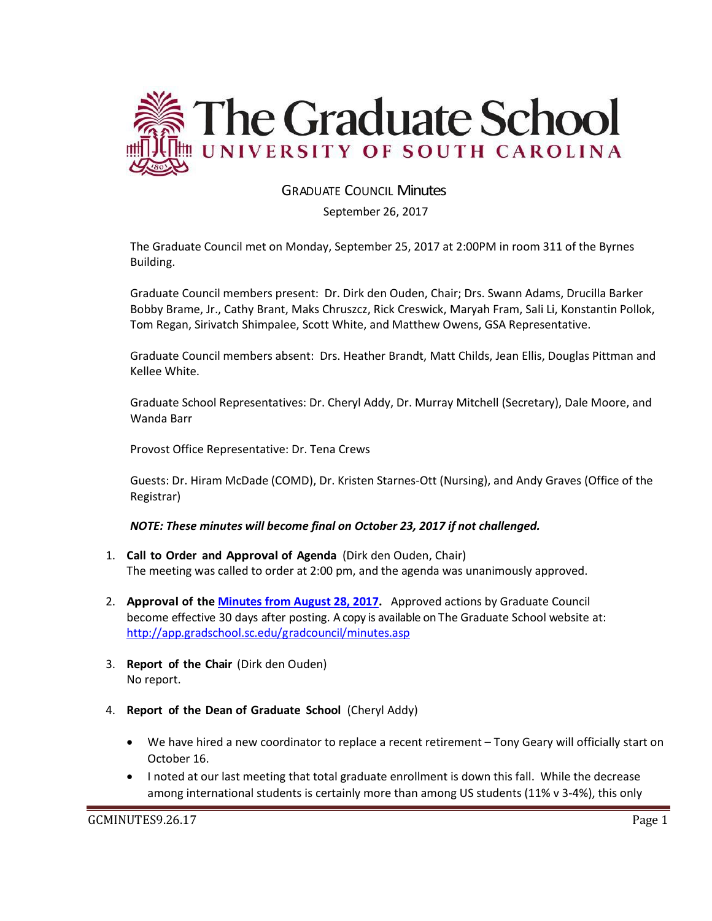

# GRADUATE COUNCIL Minutes

September 26, 2017

The Graduate Council met on Monday, September 25, 2017 at 2:00PM in room 311 of the Byrnes Building.

Graduate Council members present: Dr. Dirk den Ouden, Chair; Drs. Swann Adams, Drucilla Barker Bobby Brame, Jr., Cathy Brant, Maks Chruszcz, Rick Creswick, Maryah Fram, Sali Li, Konstantin Pollok, Tom Regan, Sirivatch Shimpalee, Scott White, and Matthew Owens, GSA Representative.

Graduate Council members absent: Drs. Heather Brandt, Matt Childs, Jean Ellis, Douglas Pittman and Kellee White.

Graduate School Representatives: Dr. Cheryl Addy, Dr. Murray Mitchell (Secretary), Dale Moore, and Wanda Barr

Provost Office Representative: Dr. Tena Crews

Guests: Dr. Hiram McDade (COMD), Dr. Kristen Starnes-Ott (Nursing), and Andy Graves (Office of the Registrar)

# *NOTE: These minutes will become final on October 23, 2017 if not challenged.*

- 1. **Call to Order and Approval of Agenda** (Dirk den Ouden, Chair) The meeting was called to order at 2:00 pm, and the agenda was unanimously approved.
- 2. **Approval of the [Minutes from August 28, 2017.](file:///C:/Users/wandab/Local%20Documents/Graduate%20Council/GCMINUTESAUG292017.pdf)** Approved actions by Graduate Council become effective 30 days after posting. A copy is available on The Graduate School website at: <http://app.gradschool.sc.edu/gradcouncil/minutes.asp>
- 3. **Report of the Chair** (Dirk den Ouden) No report.
- 4. **Report of the Dean of Graduate School** (Cheryl Addy)
	- We have hired a new coordinator to replace a recent retirement Tony Geary will officially start on October 16.
	- I noted at our last meeting that total graduate enrollment is down this fall. While the decrease among international students is certainly more than among US students (11% v 3-4%), this only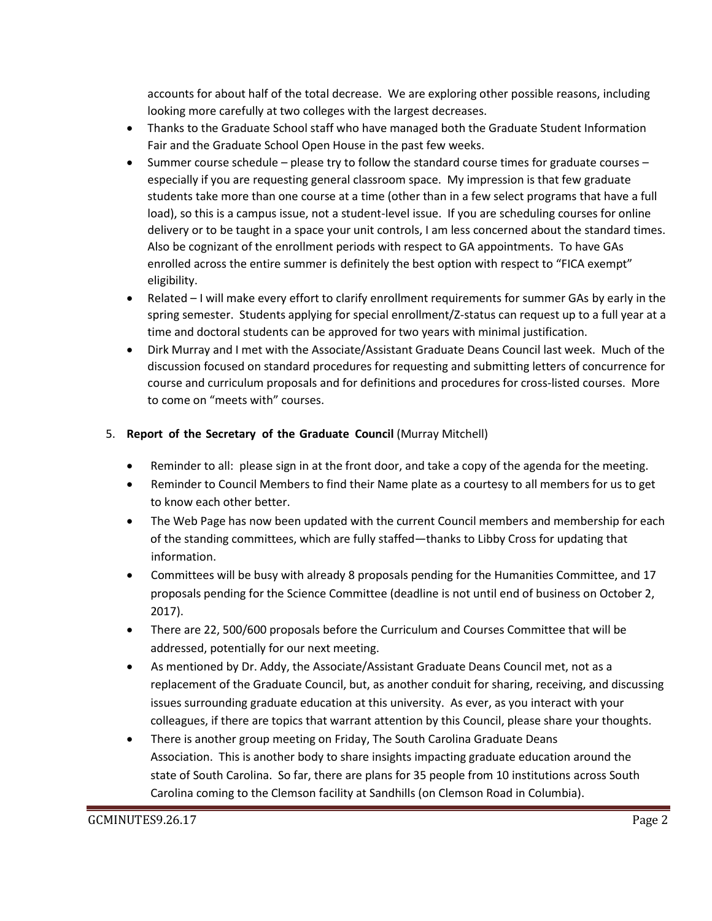accounts for about half of the total decrease. We are exploring other possible reasons, including looking more carefully at two colleges with the largest decreases.

- Thanks to the Graduate School staff who have managed both the Graduate Student Information Fair and the Graduate School Open House in the past few weeks.
- $\bullet$  Summer course schedule please try to follow the standard course times for graduate courses especially if you are requesting general classroom space. My impression is that few graduate students take more than one course at a time (other than in a few select programs that have a full load), so this is a campus issue, not a student-level issue. If you are scheduling courses for online delivery or to be taught in a space your unit controls, I am less concerned about the standard times. Also be cognizant of the enrollment periods with respect to GA appointments. To have GAs enrolled across the entire summer is definitely the best option with respect to "FICA exempt" eligibility.
- Related I will make every effort to clarify enrollment requirements for summer GAs by early in the spring semester. Students applying for special enrollment/Z-status can request up to a full year at a time and doctoral students can be approved for two years with minimal justification.
- Dirk Murray and I met with the Associate/Assistant Graduate Deans Council last week. Much of the discussion focused on standard procedures for requesting and submitting letters of concurrence for course and curriculum proposals and for definitions and procedures for cross-listed courses. More to come on "meets with" courses.

# 5. **Report of the Secretary of the Graduate Council** (Murray Mitchell)

- Reminder to all: please sign in at the front door, and take a copy of the agenda for the meeting.
- Reminder to Council Members to find their Name plate as a courtesy to all members for us to get to know each other better.
- The Web Page has now been updated with the current Council members and membership for each of the standing committees, which are fully staffed—thanks to Libby Cross for updating that information.
- Committees will be busy with already 8 proposals pending for the Humanities Committee, and 17 proposals pending for the Science Committee (deadline is not until end of business on October 2, 2017).
- There are 22, 500/600 proposals before the Curriculum and Courses Committee that will be addressed, potentially for our next meeting.
- As mentioned by Dr. Addy, the Associate/Assistant Graduate Deans Council met, not as a replacement of the Graduate Council, but, as another conduit for sharing, receiving, and discussing issues surrounding graduate education at this university. As ever, as you interact with your colleagues, if there are topics that warrant attention by this Council, please share your thoughts.
- There is another group meeting on Friday, The South Carolina Graduate Deans Association. This is another body to share insights impacting graduate education around the state of South Carolina. So far, there are plans for 35 people from 10 institutions across South Carolina coming to the Clemson facility at Sandhills (on Clemson Road in Columbia).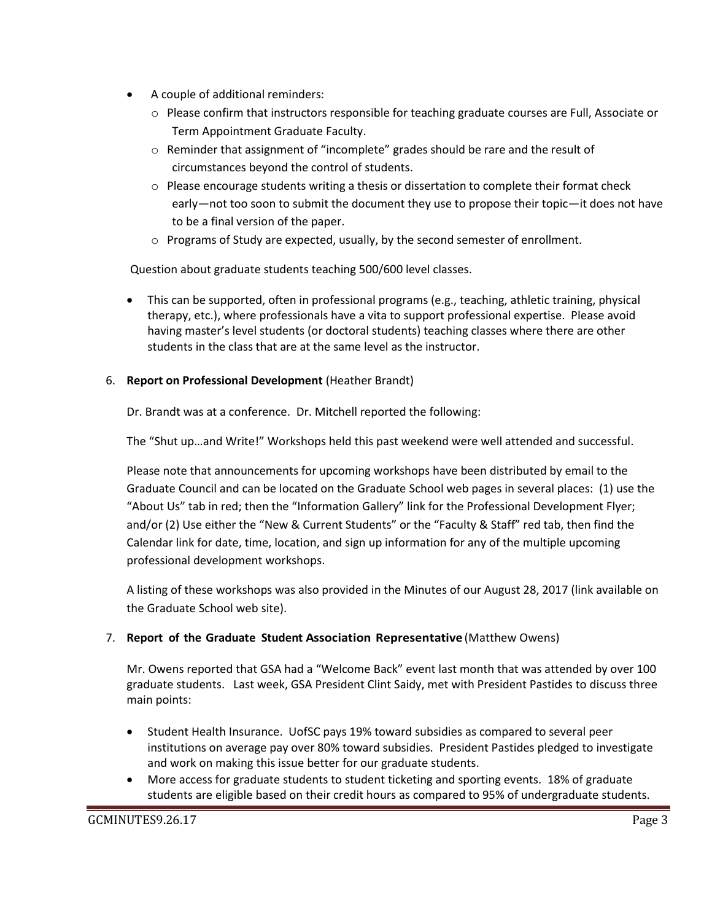- A couple of additional reminders:
	- $\circ$  Please confirm that instructors responsible for teaching graduate courses are Full, Associate or Term Appointment Graduate Faculty.
	- $\circ$  Reminder that assignment of "incomplete" grades should be rare and the result of circumstances beyond the control of students.
	- $\circ$  Please encourage students writing a thesis or dissertation to complete their format check early—not too soon to submit the document they use to propose their topic—it does not have to be a final version of the paper.
	- o Programs of Study are expected, usually, by the second semester of enrollment.

Question about graduate students teaching 500/600 level classes.

- This can be supported, often in professional programs (e.g., teaching, athletic training, physical therapy, etc.), where professionals have a vita to support professional expertise. Please avoid having master's level students (or doctoral students) teaching classes where there are other students in the class that are at the same level as the instructor.
- 6. **Report on Professional Development** (Heather Brandt)

Dr. Brandt was at a conference. Dr. Mitchell reported the following:

The "Shut up…and Write!" Workshops held this past weekend were well attended and successful.

Please note that announcements for upcoming workshops have been distributed by email to the Graduate Council and can be located on the Graduate School web pages in several places: (1) use the "About Us" tab in red; then the "Information Gallery" link for the Professional Development Flyer; and/or (2) Use either the "New & Current Students" or the "Faculty & Staff" red tab, then find the Calendar link for date, time, location, and sign up information for any of the multiple upcoming professional development workshops.

A listing of these workshops was also provided in the Minutes of our August 28, 2017 (link available on the Graduate School web site).

# 7. **Report of the Graduate Student Association Representative** (Matthew Owens)

Mr. Owens reported that GSA had a "Welcome Back" event last month that was attended by over 100 graduate students. Last week, GSA President Clint Saidy, met with President Pastides to discuss three main points:

- Student Health Insurance. UofSC pays 19% toward subsidies as compared to several peer institutions on average pay over 80% toward subsidies. President Pastides pledged to investigate and work on making this issue better for our graduate students.
- More access for graduate students to student ticketing and sporting events. 18% of graduate students are eligible based on their credit hours as compared to 95% of undergraduate students.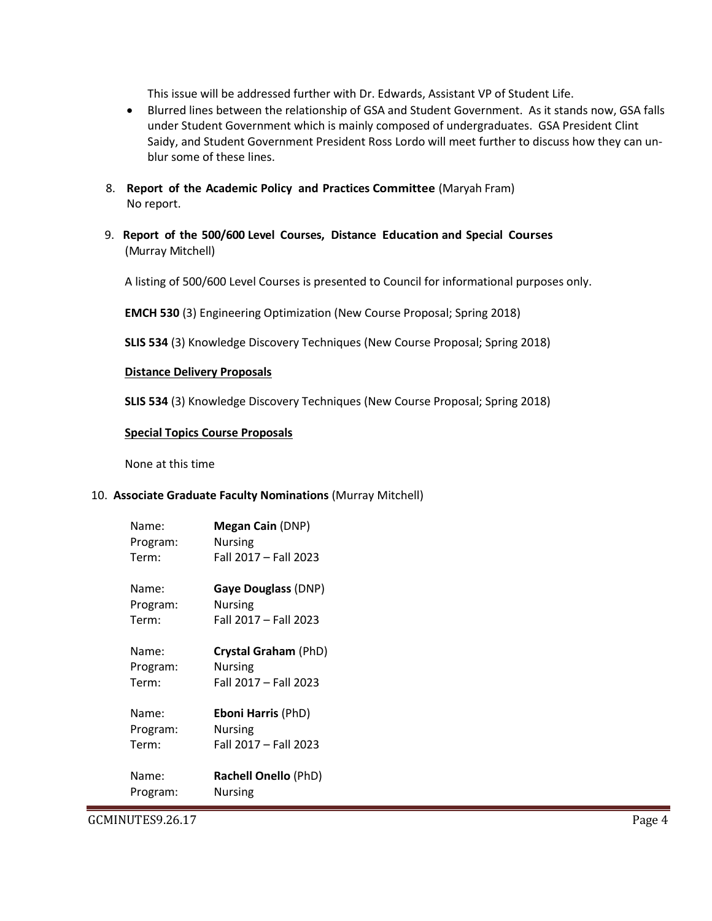This issue will be addressed further with Dr. Edwards, Assistant VP of Student Life.

- Blurred lines between the relationship of GSA and Student Government. As it stands now, GSA falls under Student Government which is mainly composed of undergraduates. GSA President Clint Saidy, and Student Government President Ross Lordo will meet further to discuss how they can unblur some of these lines.
- 8. **Report of the Academic Policy and Practices Committee** (Maryah Fram) No report.
- 9. **Report of the 500/600 Level Courses, Distance Education and Special Courses** (Murray Mitchell)

A listing of 500/600 Level Courses is presented to Council for informational purposes only.

**EMCH 530** (3) Engineering Optimization (New Course Proposal; Spring 2018)

**SLIS 534** (3) Knowledge Discovery Techniques (New Course Proposal; Spring 2018)

#### **Distance Delivery Proposals**

**SLIS 534** (3) Knowledge Discovery Techniques (New Course Proposal; Spring 2018)

#### **Special Topics Course Proposals**

None at this time

#### 10. **Associate Graduate Faculty Nominations** (Murray Mitchell)

| Name:    | <b>Megan Cain (DNP)</b>     |
|----------|-----------------------------|
| Program: | <b>Nursing</b>              |
| Term:    | Fall 2017 - Fall 2023       |
| Name:    | Gaye Douglass (DNP)         |
| Program: | Nursing                     |
| Term:    | Fall 2017 - Fall 2023       |
| Name:    | Crystal Graham (PhD)        |
| Program: | Nursing                     |
| Term:    | Fall 2017 - Fall 2023       |
| Name:    | <b>Eboni Harris (PhD)</b>   |
| Program: | <b>Nursing</b>              |
| Term:    | Fall 2017 - Fall 2023       |
| Name:    | <b>Rachell Onello (PhD)</b> |
| Program: | Nursing                     |

GCMINUTES9.26.17 Page 4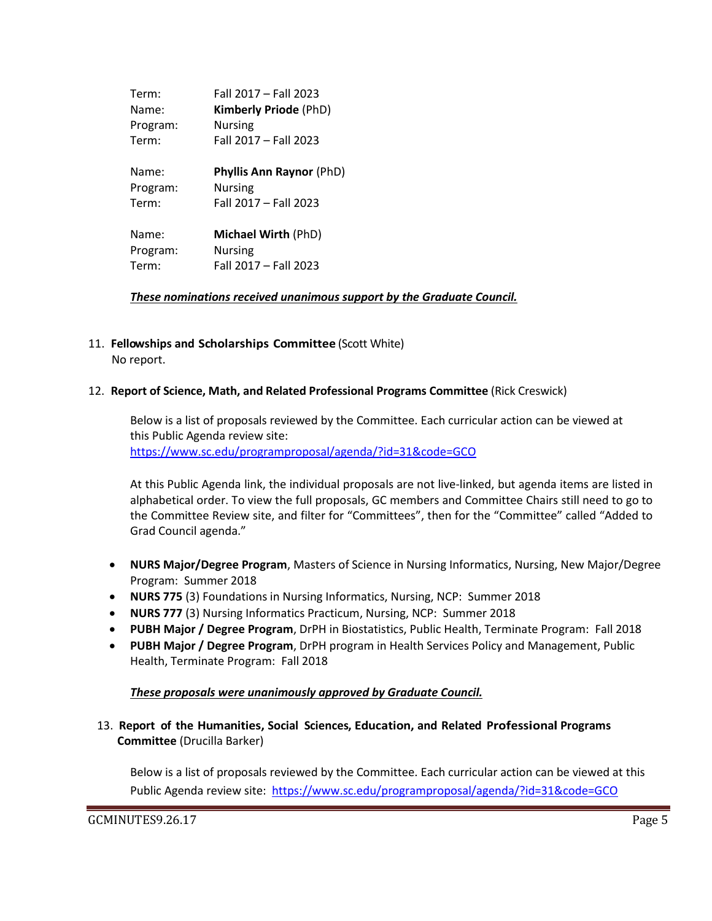| Term:    | Fall 2017 - Fall 2023           |
|----------|---------------------------------|
| Name:    | <b>Kimberly Priode (PhD)</b>    |
| Program: | Nursing                         |
| Term:    | Fall 2017 - Fall 2023           |
| Name:    | <b>Phyllis Ann Raynor (PhD)</b> |
| Program: | <b>Nursing</b>                  |
| Term:    | Fall 2017 - Fall 2023           |
| Name:    | <b>Michael Wirth (PhD)</b>      |
| Program: | Nursing                         |
| Term:    | Fall 2017 - Fall 2023           |

*These nominations received unanimous support by the Graduate Council.*

11. **Fellowships and Scholarships Committee** (Scott White) No report.

#### 12. **Report of Science, Math, and Related Professional Programs Committee** (Rick Creswick)

Below is a list of proposals reviewed by the Committee. Each curricular action can be viewed at this Public Agenda review site: <https://www.sc.edu/programproposal/agenda/?id=31&code=GCO>

At this Public Agenda link, the individual proposals are not live-linked, but agenda items are listed in alphabetical order. To view the full proposals, GC members and Committee Chairs still need to go to the Committee Review site, and filter for "Committees", then for the "Committee" called "Added to Grad Council agenda."

- **NURS Major/Degree Program**, Masters of Science in Nursing Informatics, Nursing, New Major/Degree Program: Summer 2018
- **NURS 775** (3) Foundations in Nursing Informatics, Nursing, NCP: Summer 2018
- **NURS 777** (3) Nursing Informatics Practicum, Nursing, NCP: Summer 2018
- **PUBH Major / Degree Program**, DrPH in Biostatistics, Public Health, Terminate Program: Fall 2018
- **PUBH Major / Degree Program**, DrPH program in Health Services Policy and Management, Public Health, Terminate Program: Fall 2018

#### *These proposals were unanimously approved by Graduate Council.*

 13. **Report of the Humanities, Social Sciences, Education, and Related Professional Programs Committee** (Drucilla Barker)

Below is a list of proposals reviewed by the Committee. Each curricular action can be viewed at this Public Agenda review site: <https://www.sc.edu/programproposal/agenda/?id=31&code=GCO>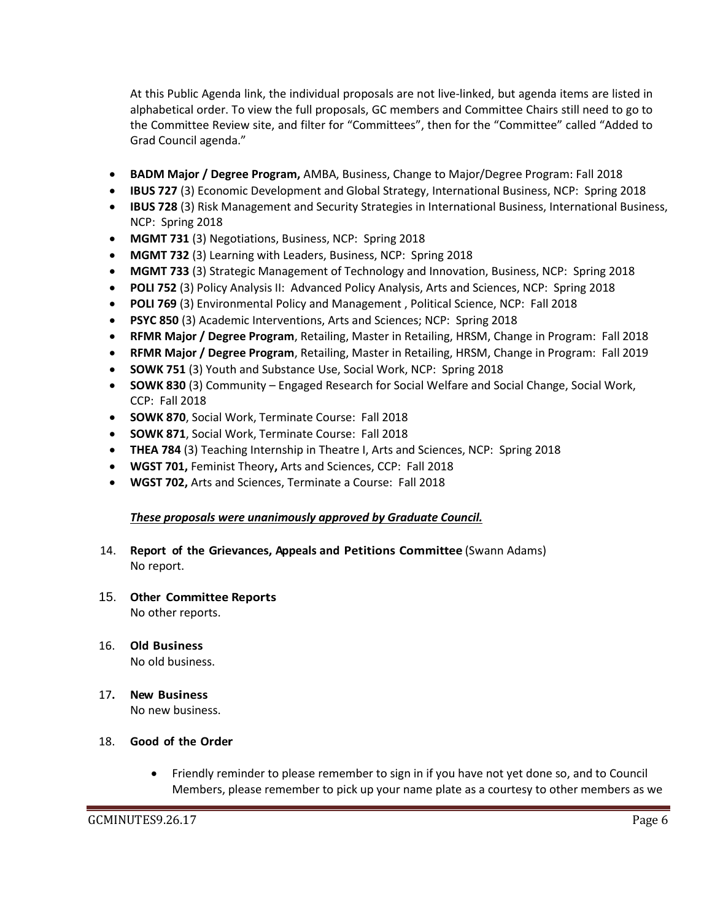At this Public Agenda link, the individual proposals are not live-linked, but agenda items are listed in alphabetical order. To view the full proposals, GC members and Committee Chairs still need to go to the Committee Review site, and filter for "Committees", then for the "Committee" called "Added to Grad Council agenda."

- **BADM Major / Degree Program,** AMBA, Business, Change to Major/Degree Program: Fall 2018
- **IBUS 727** (3) Economic Development and Global Strategy, International Business, NCP: Spring 2018
- **IBUS 728** (3) Risk Management and Security Strategies in International Business, International Business, NCP: Spring 2018
- **MGMT 731** (3) Negotiations, Business, NCP: Spring 2018
- **MGMT 732** (3) Learning with Leaders, Business, NCP: Spring 2018
- **MGMT 733** (3) Strategic Management of Technology and Innovation, Business, NCP: Spring 2018
- **POLI 752** (3) Policy Analysis II: Advanced Policy Analysis, Arts and Sciences, NCP: Spring 2018
- **POLI 769** (3) Environmental Policy and Management , Political Science, NCP: Fall 2018
- **PSYC 850** (3) Academic Interventions, Arts and Sciences; NCP: Spring 2018
- **RFMR Major / Degree Program**, Retailing, Master in Retailing, HRSM, Change in Program: Fall 2018
- **RFMR Major / Degree Program**, Retailing, Master in Retailing, HRSM, Change in Program: Fall 2019
- **SOWK 751** (3) Youth and Substance Use, Social Work, NCP: Spring 2018
- **SOWK 830** (3) Community Engaged Research for Social Welfare and Social Change, Social Work, CCP: Fall 2018
- **SOWK 870**, Social Work, Terminate Course: Fall 2018
- **SOWK 871**, Social Work, Terminate Course: Fall 2018
- **THEA 784** (3) Teaching Internship in Theatre I, Arts and Sciences, NCP: Spring 2018
- **WGST 701,** Feminist Theory**,** Arts and Sciences, CCP: Fall 2018
- **WGST 702,** Arts and Sciences, Terminate a Course: Fall 2018

#### *These proposals were unanimously approved by Graduate Council.*

- 14. **Report of the Grievances, Appeals and Petitions Committee** (Swann Adams) No report.
- 15. **Other Committee Reports** No other reports.
- 16. **Old Business** No old business.
- 17**. New Business** No new business.

### 18. **Good of the Order**

 Friendly reminder to please remember to sign in if you have not yet done so, and to Council Members, please remember to pick up your name plate as a courtesy to other members as we